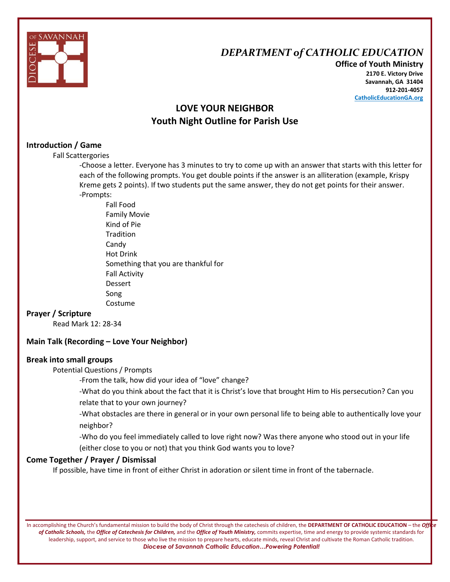

## *DEPARTMENT of CATHOLIC EDUCATION*

**Office of Youth Ministry 2170 E. Victory Drive Savannah, GA 31404 912-201-4057 CatholicEducationGA.org**

## **LOVE YOUR NEIGHBOR Youth Night Outline for Parish Use**

#### **Introduction / Game**

Fall Scattergories

-Choose a letter. Everyone has 3 minutes to try to come up with an answer that starts with this letter for each of the following prompts. You get double points if the answer is an alliteration (example, Krispy Kreme gets 2 points). If two students put the same answer, they do not get points for their answer. -Prompts:

Fall Food Family Movie Kind of Pie Tradition Candy Hot Drink Something that you are thankful for Fall Activity Dessert Song Costume

#### **Prayer / Scripture**

Read Mark 12: 28-34

#### **Main Talk (Recording – Love Your Neighbor)**

#### **Break into small groups**

Potential Questions / Prompts

-From the talk, how did your idea of "love" change?

-What do you think about the fact that it is Christ's love that brought Him to His persecution? Can you relate that to your own journey?

-What obstacles are there in general or in your own personal life to being able to authentically love your neighbor?

-Who do you feel immediately called to love right now? Was there anyone who stood out in your life

(either close to you or not) that you think God wants you to love?

#### **Come Together / Prayer / Dismissal**

If possible, have time in front of either Christ in adoration or silent time in front of the tabernacle.

In accomplishing the Church's fundamental mission to build the body of Christ through the catechesis of children, the **DEPARTMENT OF CATHOLIC EDUCATION** – the *Office of Catholic Schools,* the *Office of Catechesis for Children,* and the *Office of Youth Ministry,* commits expertise, time and energy to provide systemic standards for leadership, support, and service to those who live the mission to prepare hearts, educate minds, reveal Christ and cultivate the Roman Catholic tradition. *Diocese of Savannah Catholic Education…Powering Potential!*